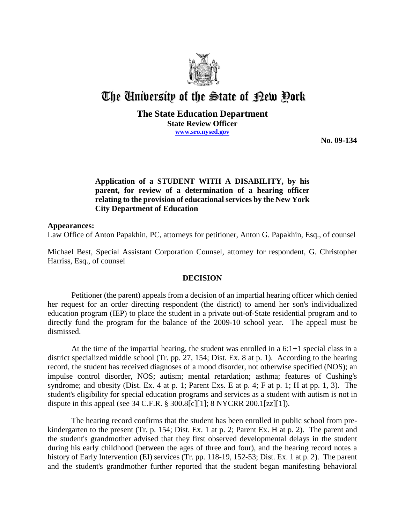

# The University of the State of Pew Pork

### **The State Education Department State Review Officer www.sro.nysed.gov**

**No. 09-134**

## **Application of a STUDENT WITH A DISABILITY, by his parent, for review of a determination of a hearing officer relating to the provision of educational services by the New York City Department of Education**

#### **Appearances:**

Law Office of Anton Papakhin, PC, attorneys for petitioner, Anton G. Papakhin, Esq., of counsel

Michael Best, Special Assistant Corporation Counsel, attorney for respondent, G. Christopher Harriss, Esq., of counsel

#### **DECISION**

Petitioner (the parent) appeals from a decision of an impartial hearing officer which denied her request for an order directing respondent (the district) to amend her son's individualized education program (IEP) to place the student in a private out-of-State residential program and to directly fund the program for the balance of the 2009-10 school year. The appeal must be dismissed.

At the time of the impartial hearing, the student was enrolled in a  $6:1+1$  special class in a district specialized middle school (Tr. pp. 27, 154; Dist. Ex. 8 at p. 1). According to the hearing record, the student has received diagnoses of a mood disorder, not otherwise specified (NOS); an impulse control disorder, NOS; autism; mental retardation; asthma; features of Cushing's syndrome; and obesity (Dist. Ex. 4 at p. 1; Parent Exs. E at p. 4; F at p. 1; H at pp. 1, 3). The student's eligibility for special education programs and services as a student with autism is not in dispute in this appeal (see 34 C.F.R. § 300.8[c][1]; 8 NYCRR 200.1[zz][1]).

The hearing record confirms that the student has been enrolled in public school from prekindergarten to the present (Tr. p. 154; Dist. Ex. 1 at p. 2; Parent Ex. H at p. 2). The parent and the student's grandmother advised that they first observed developmental delays in the student during his early childhood (between the ages of three and four), and the hearing record notes a history of Early Intervention (EI) services (Tr. pp. 118-19, 152-53; Dist. Ex. 1 at p. 2). The parent and the student's grandmother further reported that the student began manifesting behavioral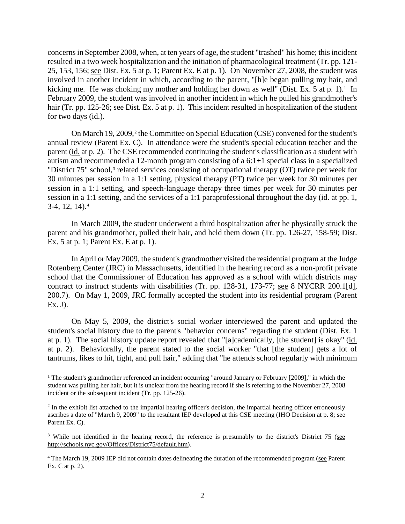concerns in September 2008, when, at ten years of age, the student "trashed" his home; this incident resulted in a two week hospitalization and the initiation of pharmacological treatment (Tr. pp. 121- 25, 153, 156; see Dist. Ex. 5 at p. 1; Parent Ex. E at p. 1). On November 27, 2008, the student was involved in another incident in which, according to the parent, "[h]e began pulling my hair, and kicking me. He was choking my mother and holding her down as well" (Dist. Ex.  $5$  at p. 1).<sup>1</sup> In February 2009, the student was involved in another incident in which he pulled his grandmother's hair (Tr. pp. 125-26; see Dist. Ex. 5 at p. 1). This incident resulted in hospitalization of the student for two days (id.).

On March 19, 2009,<sup>2</sup> the Committee on Special Education (CSE) convened for the student's annual review (Parent Ex. C). In attendance were the student's special education teacher and the parent (id. at p. 2). The CSE recommended continuing the student's classification as a student with autism and recommended a 12-month program consisting of a 6:1+1 special class in a specialized "District 75" school,<sup>3</sup> related services consisting of occupational therapy (OT) twice per week for 30 minutes per session in a 1:1 setting, physical therapy (PT) twice per week for 30 minutes per session in a 1:1 setting, and speech-language therapy three times per week for 30 minutes per session in a 1:1 setting, and the services of a 1:1 paraprofessional throughout the day (id. at pp. 1,  $3-4$ , 12, 14).<sup>4</sup>

In March 2009, the student underwent a third hospitalization after he physically struck the parent and his grandmother, pulled their hair, and held them down (Tr. pp. 126-27, 158-59; Dist. Ex. 5 at p. 1; Parent Ex. E at p. 1).

In April or May 2009, the student's grandmother visited the residential program at the Judge Rotenberg Center (JRC) in Massachusetts, identified in the hearing record as a non-profit private school that the Commissioner of Education has approved as a school with which districts may contract to instruct students with disabilities (Tr. pp. 128-31, 173-77; see 8 NYCRR 200.1[d], 200.7). On May 1, 2009, JRC formally accepted the student into its residential program (Parent Ex. J).

On May 5, 2009, the district's social worker interviewed the parent and updated the student's social history due to the parent's "behavior concerns" regarding the student (Dist. Ex. 1 at p. 1). The social history update report revealed that "[a]cademically, [the student] is okay" (id. at p. 2). Behaviorally, the parent stated to the social worker "that [the student] gets a lot of tantrums, likes to hit, fight, and pull hair," adding that "he attends school regularly with minimum

<sup>&</sup>lt;sup>1</sup> The student's grandmother referenced an incident occurring "around January or February [2009]," in which the student was pulling her hair, but it is unclear from the hearing record if she is referring to the November 27, 2008 incident or the subsequent incident (Tr. pp. 125-26).

<sup>&</sup>lt;sup>2</sup> In the exhibit list attached to the impartial hearing officer's decision, the impartial hearing officer erroneously ascribes a date of "March 9, 2009" to the resultant IEP developed at this CSE meeting (IHO Decision at p. 8; see Parent Ex. C).

<sup>&</sup>lt;sup>3</sup> While not identified in the hearing record, the reference is presumably to the district's District 75 (see http://schools.nyc.gov/Offices/District75/default.htm).

<sup>&</sup>lt;sup>4</sup> The March 19, 2009 IEP did not contain dates delineating the duration of the recommended program (see Parent Ex. C at p. 2).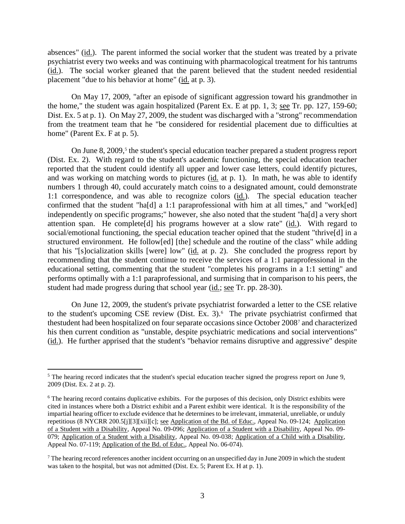absences" (id.). The parent informed the social worker that the student was treated by a private psychiatrist every two weeks and was continuing with pharmacological treatment for his tantrums (id.). The social worker gleaned that the parent believed that the student needed residential placement "due to his behavior at home" (id. at p. 3).

On May 17, 2009, "after an episode of significant aggression toward his grandmother in the home," the student was again hospitalized (Parent Ex. E at pp. 1, 3; see Tr. pp. 127, 159-60; Dist. Ex. 5 at p. 1). On May 27, 2009, the student was discharged with a "strong" recommendation from the treatment team that he "be considered for residential placement due to difficulties at home" (Parent Ex. F at p. 5).

On June 8, 2009,<sup>5</sup> the student's special education teacher prepared a student progress report (Dist. Ex. 2). With regard to the student's academic functioning, the special education teacher reported that the student could identify all upper and lower case letters, could identify pictures, and was working on matching words to pictures (id. at p. 1). In math, he was able to identify numbers 1 through 40, could accurately match coins to a designated amount, could demonstrate 1:1 correspondence, and was able to recognize colors (id.). The special education teacher confirmed that the student "ha[d] a 1:1 paraprofessional with him at all times," and "work[ed] independently on specific programs;" however, she also noted that the student "ha[d] a very short attention span. He complete[d] his programs however at a slow rate" (id.). With regard to social/emotional functioning, the special education teacher opined that the student "thrive[d] in a structured environment. He follow[ed] [the] schedule and the routine of the class" while adding that his "[s]ocialization skills [were] low" ( $\underline{id}$  at p. 2). She concluded the progress report by recommending that the student continue to receive the services of a 1:1 paraprofessional in the educational setting, commenting that the student "completes his programs in a 1:1 setting" and performs optimally with a 1:1 paraprofessional, and surmising that in comparison to his peers, the student had made progress during that school year (id.; see Tr. pp. 28-30).

On June 12, 2009, the student's private psychiatrist forwarded a letter to the CSE relative to the student's upcoming CSE review (Dist. Ex.  $3$ ).<sup>6</sup> The private psychiatrist confirmed that thestudent had been hospitalized on four separate occasions since October 20087 and characterized his then current condition as "unstable, despite psychiatric medications and social interventions" (id.). He further apprised that the student's "behavior remains disruptive and aggressive" despite

 $5$  The hearing record indicates that the student's special education teacher signed the progress report on June 9, 2009 (Dist. Ex. 2 at p. 2).

<sup>&</sup>lt;sup>6</sup> The hearing record contains duplicative exhibits. For the purposes of this decision, only District exhibits were cited in instances where both a District exhibit and a Parent exhibit were identical. It is the responsibility of the impartial hearing officer to exclude evidence that he determines to be irrelevant, immaterial, unreliable, or unduly repetitious (8 NYCRR 200.5[j][3][xii][c]; <u>see Application of the Bd. of Educ.</u>, Appeal No. 09-124; Application of a Student with a Disability, Appeal No. 09-096; Application of a Student with a Disability, Appeal No. 09- 079; Application of a Student with a Disability, Appeal No. 09-038; Application of a Child with a Disability, Appeal No. 07-119; Application of the Bd. of Educ., Appeal No. 06-074).

<sup>&</sup>lt;sup>7</sup> The hearing record references another incident occurring on an unspecified day in June 2009 in which the student was taken to the hospital, but was not admitted (Dist. Ex. 5; Parent Ex. H at p. 1).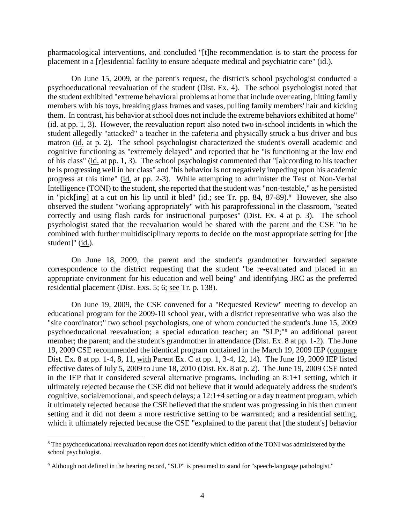pharmacological interventions, and concluded "[t]he recommendation is to start the process for placement in a [r]esidential facility to ensure adequate medical and psychiatric care" (id.).

On June 15, 2009, at the parent's request, the district's school psychologist conducted a psychoeducational reevaluation of the student (Dist. Ex. 4). The school psychologist noted that the student exhibited "extreme behavioral problems at home that include over eating, hitting family members with his toys, breaking glass frames and vases, pulling family members' hair and kicking them. In contrast, his behavior at school does not include the extreme behaviors exhibited at home" (id. at pp. 1, 3). However, the reevaluation report also noted two in-school incidents in which the student allegedly "attacked" a teacher in the cafeteria and physically struck a bus driver and bus matron (id. at p. 2). The school psychologist characterized the student's overall academic and cognitive functioning as "extremely delayed" and reported that he "is functioning at the low end of his class" (id. at pp. 1, 3). The school psychologist commented that "[a]ccording to his teacher he is progressing well in her class" and "his behavior is not negatively impeding upon his academic progress at this time" (id. at pp. 2-3). While attempting to administer the Test of Non-Verbal Intelligence (TONI) to the student, she reported that the student was "non-testable," as he persisted in "pick[ing] at a cut on his lip until it bled" (id.; see Tr. pp. 84, 87-89).<sup>8</sup> However, she also observed the student "working appropriately" with his paraprofessional in the classroom, "seated correctly and using flash cards for instructional purposes" (Dist. Ex. 4 at p. 3). The school psychologist stated that the reevaluation would be shared with the parent and the CSE "to be combined with further multidisciplinary reports to decide on the most appropriate setting for [the student]" (id.).

On June 18, 2009, the parent and the student's grandmother forwarded separate correspondence to the district requesting that the student "be re-evaluated and placed in an appropriate environment for his education and well being" and identifying JRC as the preferred residential placement (Dist. Exs. 5; 6; see Tr. p. 138).

On June 19, 2009, the CSE convened for a "Requested Review" meeting to develop an educational program for the 2009-10 school year, with a district representative who was also the "site coordinator;" two school psychologists, one of whom conducted the student's June 15, 2009 psychoeducational reevaluation; a special education teacher; an "SLP;"9 an additional parent member; the parent; and the student's grandmother in attendance (Dist. Ex. 8 at pp. 1-2). The June 19, 2009 CSE recommended the identical program contained in the March 19, 2009 IEP (compare Dist. Ex. 8 at pp. 1-4, 8, 11, with Parent Ex. C at pp. 1, 3-4, 12, 14). The June 19, 2009 IEP listed effective dates of July 5, 2009 to June 18, 2010 (Dist. Ex. 8 at p. 2). The June 19, 2009 CSE noted in the IEP that it considered several alternative programs, including an 8:1+1 setting, which it ultimately rejected because the CSE did not believe that it would adequately address the student's cognitive, social/emotional, and speech delays; a 12:1+4 setting or a day treatment program, which it ultimately rejected because the CSE believed that the student was progressing in his then current setting and it did not deem a more restrictive setting to be warranted; and a residential setting, which it ultimately rejected because the CSE "explained to the parent that [the student's] behavior

<sup>&</sup>lt;sup>8</sup> The psychoeducational reevaluation report does not identify which edition of the TONI was administered by the school psychologist.

<sup>&</sup>lt;sup>9</sup> Although not defined in the hearing record, "SLP" is presumed to stand for "speech-language pathologist."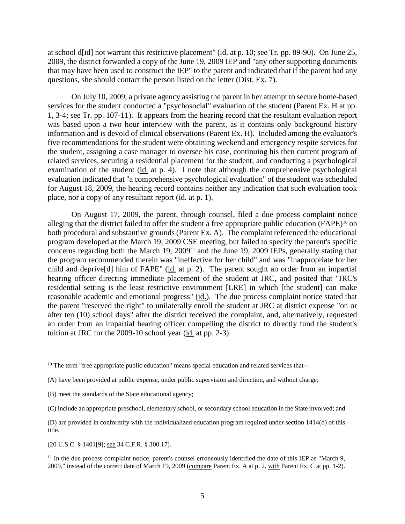at school d[id] not warrant this restrictive placement" (id. at p. 10; see Tr. pp. 89-90). On June 25, 2009, the district forwarded a copy of the June 19, 2009 IEP and "any other supporting documents that may have been used to construct the IEP" to the parent and indicated that if the parent had any questions, she should contact the person listed on the letter (Dist. Ex. 7).

On July 10, 2009, a private agency assisting the parent in her attempt to secure home-based services for the student conducted a "psychosocial" evaluation of the student (Parent Ex. H at pp. 1, 3-4; see Tr. pp. 107-11). It appears from the hearing record that the resultant evaluation report was based upon a two hour interview with the parent, as it contains only background history information and is devoid of clinical observations (Parent Ex. H). Included among the evaluator's five recommendations for the student were obtaining weekend and emergency respite services for the student, assigning a case manager to oversee his case, continuing his then current program of related services, securing a residential placement for the student, and conducting a psychological examination of the student (id. at p. 4). I note that although the comprehensive psychological evaluation indicated that "a comprehensive psychological evaluation" of the student was scheduled for August 18, 2009, the hearing record contains neither any indication that such evaluation took place, nor a copy of any resultant report (id. at p. 1).

On August 17, 2009, the parent, through counsel, filed a due process complaint notice alleging that the district failed to offer the student a free appropriate public education (FAPE)<sup>10</sup> on both procedural and substantive grounds (Parent Ex. A). The complaint referenced the educational program developed at the March 19, 2009 CSE meeting, but failed to specify the parent's specific concerns regarding both the March 19, 2009<sup>11</sup> and the June 19, 2009 IEPs, generally stating that the program recommended therein was "ineffective for her child" and was "inappropriate for her child and deprive[d] him of FAPE" (id. at p. 2). The parent sought an order from an impartial hearing officer directing immediate placement of the student at JRC, and posited that "JRC's residential setting is the least restrictive environment [LRE] in which [the student] can make reasonable academic and emotional progress" (id.). The due process complaint notice stated that the parent "reserved the right" to unilaterally enroll the student at JRC at district expense "on or after ten (10) school days" after the district received the complaint, and, alternatively, requested an order from an impartial hearing officer compelling the district to directly fund the student's tuition at JRC for the 2009-10 school year (id. at pp. 2-3).

(20 U.S.C. § 1401[9]; see 34 C.F.R. § 300.17).

<sup>&</sup>lt;sup>10</sup> The term "free appropriate public education" means special education and related services that--

<sup>(</sup>A) have been provided at public expense, under public supervision and direction, and without charge;

<sup>(</sup>B) meet the standards of the State educational agency;

<sup>(</sup>C) include an appropriate preschool, elementary school, or secondary school education in the State involved; and

<sup>(</sup>D) are provided in conformity with the individualized education program required under section 1414(d) of this title.

 $11$  In the due process complaint notice, parent's counsel erroneously identified the date of this IEP as "March 9, 2009," instead of the correct date of March 19, 2009 (compare Parent Ex. A at p. 2, with Parent Ex. C at pp. 1-2).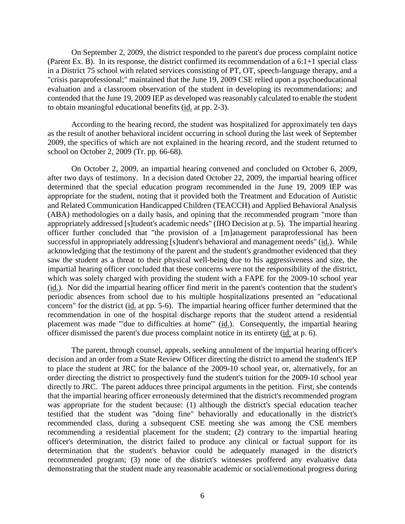On September 2, 2009, the district responded to the parent's due process complaint notice (Parent Ex. B). In its response, the district confirmed its recommendation of a 6:1+1 special class in a District 75 school with related services consisting of PT, OT, speech-language therapy, and a "crisis paraprofessional;" maintained that the June 19, 2009 CSE relied upon a psychoeducational evaluation and a classroom observation of the student in developing its recommendations; and contended that the June 19, 2009 IEP as developed was reasonably calculated to enable the student to obtain meaningful educational benefits (id. at pp. 2-3).

According to the hearing record, the student was hospitalized for approximately ten days as the result of another behavioral incident occurring in school during the last week of September 2009, the specifics of which are not explained in the hearing record, and the student returned to school on October 2, 2009 (Tr. pp. 66-68).

On October 2, 2009, an impartial hearing convened and concluded on October 6, 2009, after two days of testimony. In a decision dated October 22, 2009, the impartial hearing officer determined that the special education program recommended in the June 19, 2009 IEP was appropriate for the student, noting that it provided both the Treatment and Education of Autistic and Related Communication Handicapped Children (TEACCH) and Applied Behavioral Analysis (ABA) methodologies on a daily basis, and opining that the recommended program "more than appropriately addressed [s]tudent's academic needs" (IHO Decision at p. 5). The impartial hearing officer further concluded that "the provision of a [m]anagement paraprofessional has been successful in appropriately addressing [s]tudent's behavioral and management needs" (id.). While acknowledging that the testimony of the parent and the student's grandmother evidenced that they saw the student as a threat to their physical well-being due to his aggressiveness and size, the impartial hearing officer concluded that these concerns were not the responsibility of the district, which was solely charged with providing the student with a FAPE for the 2009-10 school year (id.). Nor did the impartial hearing officer find merit in the parent's contention that the student's periodic absences from school due to his multiple hospitalizations presented an "educational concern" for the district (id. at pp. 5-6). The impartial hearing officer further determined that the recommendation in one of the hospital discharge reports that the student attend a residential placement was made "'due to difficulties at home'" (id.). Consequently, the impartial hearing officer dismissed the parent's due process complaint notice in its entirety (id. at p. 6).

The parent, through counsel, appeals, seeking annulment of the impartial hearing officer's decision and an order from a State Review Officer directing the district to amend the student's IEP to place the student at JRC for the balance of the 2009-10 school year, or, alternatively, for an order directing the district to prospectively fund the student's tuition for the 2009-10 school year directly to JRC. The parent adduces three principal arguments in the petition. First, she contends that the impartial hearing officer erroneously determined that the district's recommended program was appropriate for the student because: (1) although the district's special education teacher testified that the student was "doing fine" behaviorally and educationally in the district's recommended class, during a subsequent CSE meeting she was among the CSE members recommending a residential placement for the student; (2) contrary to the impartial hearing officer's determination, the district failed to produce any clinical or factual support for its determination that the student's behavior could be adequately managed in the district's recommended program; (3) none of the district's witnesses proffered any evaluative data demonstrating that the student made any reasonable academic or social/emotional progress during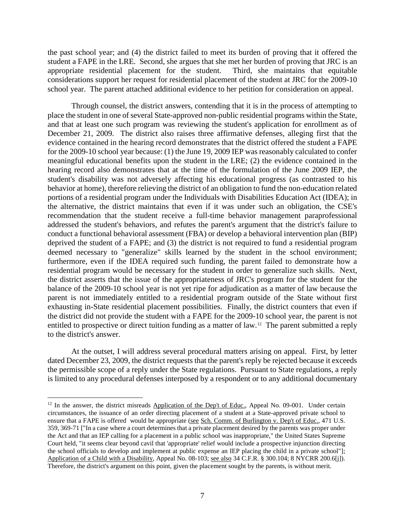the past school year; and (4) the district failed to meet its burden of proving that it offered the student a FAPE in the LRE. Second, she argues that she met her burden of proving that JRC is an appropriate residential placement for the student. Third, she maintains that equitable considerations support her request for residential placement of the student at JRC for the 2009-10 school year. The parent attached additional evidence to her petition for consideration on appeal.

Through counsel, the district answers, contending that it is in the process of attempting to place the student in one of several State-approved non-public residential programs within the State, and that at least one such program was reviewing the student's application for enrollment as of December 21, 2009. The district also raises three affirmative defenses, alleging first that the evidence contained in the hearing record demonstrates that the district offered the student a FAPE for the 2009-10 school year because: (1) the June 19, 2009 IEP was reasonably calculated to confer meaningful educational benefits upon the student in the LRE; (2) the evidence contained in the hearing record also demonstrates that at the time of the formulation of the June 2009 IEP, the student's disability was not adversely affecting his educational progress (as contrasted to his behavior at home), therefore relieving the district of an obligation to fund the non-education related portions of a residential program under the Individuals with Disabilities Education Act (IDEA); in the alternative, the district maintains that even if it was under such an obligation, the CSE's recommendation that the student receive a full-time behavior management paraprofessional addressed the student's behaviors, and refutes the parent's argument that the district's failure to conduct a functional behavioral assessment (FBA) or develop a behavioral intervention plan (BIP) deprived the student of a FAPE; and (3) the district is not required to fund a residential program deemed necessary to "generalize" skills learned by the student in the school environment; furthermore, even if the IDEA required such funding, the parent failed to demonstrate how a residential program would be necessary for the student in order to generalize such skills. Next, the district asserts that the issue of the appropriateness of JRC's program for the student for the balance of the 2009-10 school year is not yet ripe for adjudication as a matter of law because the parent is not immediately entitled to a residential program outside of the State without first exhausting in-State residential placement possibilities. Finally, the district counters that even if the district did not provide the student with a FAPE for the 2009-10 school year, the parent is not entitled to prospective or direct tuition funding as a matter of law. 12 The parent submitted a reply to the district's answer.

At the outset, I will address several procedural matters arising on appeal. First, by letter dated December 23, 2009, the district requests that the parent's reply be rejected because it exceeds the permissible scope of a reply under the State regulations. Pursuant to State regulations, a reply is limited to any procedural defenses interposed by a respondent or to any additional documentary

<sup>&</sup>lt;sup>12</sup> In the answer, the district misreads Application of the Dep't of Educ., Appeal No. 09-001. Under certain circumstances, the issuance of an order directing placement of a student at a State-approved private school to ensure that a FAPE is offered would be appropriate (see Sch. Comm. of Burlington v. Dep't of Educ., 471 U.S. 359, 369-71 ["In a case where a court determines that a private placement desired by the parents was proper under the Act and that an IEP calling for a placement in a public school was inappropriate," the United States Supreme Court held, "it seems clear beyond cavil that 'appropriate' relief would include a prospective injunction directing the school officials to develop and implement at public expense an IEP placing the child in a private school"]; Application of a Child with a Disability, Appeal No. 08-103; see also 34 C.F.R. § 300.104; 8 NYCRR 200.6[j]). Therefore, the district's argument on this point, given the placement sought by the parents, is without merit.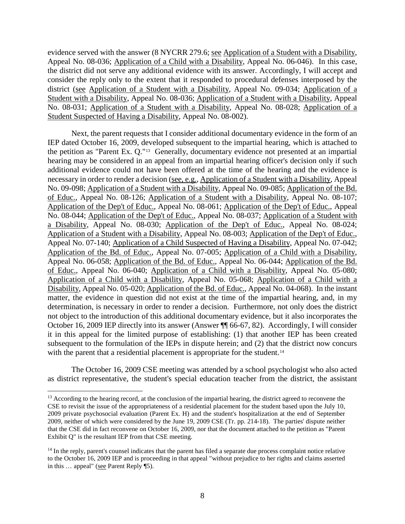evidence served with the answer (8 NYCRR 279.6; see Application of a Student with a Disability, Appeal No. 08-036; Application of a Child with a Disability, Appeal No. 06-046). In this case, the district did not serve any additional evidence with its answer. Accordingly, I will accept and consider the reply only to the extent that it responded to procedural defenses interposed by the district (see Application of a Student with a Disability, Appeal No. 09-034; Application of a Student with a Disability, Appeal No. 08-036; Application of a Student with a Disability, Appeal No. 08-031; Application of a Student with a Disability, Appeal No. 08-028; Application of a Student Suspected of Having a Disability, Appeal No. 08-002).

Next, the parent requests that I consider additional documentary evidence in the form of an IEP dated October 16, 2009, developed subsequent to the impartial hearing, which is attached to the petition as "Parent Ex. Q."13 Generally, documentary evidence not presented at an impartial hearing may be considered in an appeal from an impartial hearing officer's decision only if such additional evidence could not have been offered at the time of the hearing and the evidence is necessary in order to render a decision (see, e.g., Application of a Student with a Disability, Appeal No. 09-098; Application of a Student with a Disability, Appeal No. 09-085; Application of the Bd. of Educ., Appeal No. 08-126; Application of a Student with a Disability, Appeal No. 08-107; Application of the Dep't of Educ., Appeal No. 08-061; Application of the Dep't of Educ., Appeal No. 08-044; Application of the Dep't of Educ., Appeal No. 08-037; Application of a Student with a Disability, Appeal No. 08-030; Application of the Dep't of Educ., Appeal No. 08-024; Application of a Student with a Disability, Appeal No. 08-003; Application of the Dep't of Educ., Appeal No. 07-140; Application of a Child Suspected of Having a Disability, Appeal No. 07-042; Application of the Bd. of Educ., Appeal No. 07-005; Application of a Child with a Disability, Appeal No. 06-058; Application of the Bd. of Educ., Appeal No. 06-044; Application of the Bd. of Educ., Appeal No. 06-040; Application of a Child with a Disability, Appeal No. 05-080; Application of a Child with a Disability, Appeal No. 05-068; Application of a Child with a Disability, Appeal No. 05-020; Application of the Bd. of Educ., Appeal No. 04-068). In the instant matter, the evidence in question did not exist at the time of the impartial hearing, and, in my determination, is necessary in order to render a decision. Furthermore, not only does the district not object to the introduction of this additional documentary evidence, but it also incorporates the October 16, 2009 IEP directly into its answer (Answer ¶¶ 66-67, 82). Accordingly, I will consider it in this appeal for the limited purpose of establishing: (1) that another IEP has been created subsequent to the formulation of the IEPs in dispute herein; and (2) that the district now concurs with the parent that a residential placement is appropriate for the student.<sup>14</sup>

The October 16, 2009 CSE meeting was attended by a school psychologist who also acted as district representative, the student's special education teacher from the district, the assistant

<sup>&</sup>lt;sup>13</sup> According to the hearing record, at the conclusion of the impartial hearing, the district agreed to reconvene the CSE to revisit the issue of the appropriateness of a residential placement for the student based upon the July 10, 2009 private psychosocial evaluation (Parent Ex. H) and the student's hospitalization at the end of September 2009, neither of which were considered by the June 19, 2009 CSE (Tr. pp. 214-18). The parties' dispute neither that the CSE did in fact reconvene on October 16, 2009, nor that the document attached to the petition as "Parent Exhibit Q" is the resultant IEP from that CSE meeting.

 $<sup>14</sup>$  In the reply, parent's counsel indicates that the parent has filed a separate due process complaint notice relative</sup> to the October 16, 2009 IEP and is proceeding in that appeal "without prejudice to her rights and claims asserted in this … appeal" (see Parent Reply ¶5).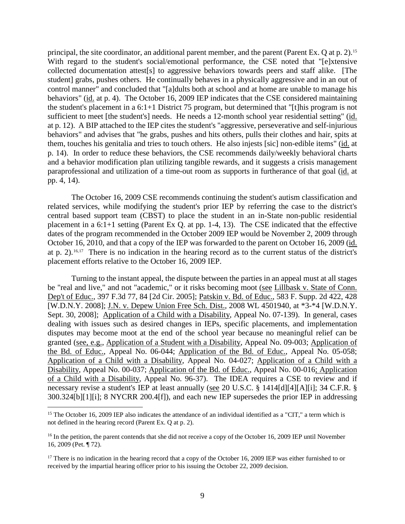principal, the site coordinator, an additional parent member, and the parent (Parent Ex. Q at p. 2).15 With regard to the student's social/emotional performance, the CSE noted that "[e]xtensive collected documentation attest[s] to aggressive behaviors towards peers and staff alike. [The student] grabs, pushes others. He continually behaves in a physically aggressive and in an out of control manner" and concluded that "[a]dults both at school and at home are unable to manage his behaviors" (id. at p. 4). The October 16, 2009 IEP indicates that the CSE considered maintaining the student's placement in a 6:1+1 District 75 program, but determined that "[t]his program is not sufficient to meet [the student's] needs. He needs a 12-month school year residential setting" (id. at p. 12). A BIP attached to the IEP cites the student's "aggressive, perseverative and self-injurious behaviors" and advises that "he grabs, pushes and hits others, pulls their clothes and hair, spits at them, touches his genitalia and tries to touch others. He also injests [sic] non-edible items" (id. at p. 14). In order to reduce these behaviors, the CSE recommends daily/weekly behavioral charts and a behavior modification plan utilizing tangible rewards, and it suggests a crisis management paraprofessional and utilization of a time-out room as supports in furtherance of that goal (id. at pp. 4, 14).

The October 16, 2009 CSE recommends continuing the student's autism classification and related services, while modifying the student's prior IEP by referring the case to the district's central based support team (CBST) to place the student in an in-State non-public residential placement in a 6:1+1 setting (Parent Ex Q. at pp. 1-4, 13). The CSE indicated that the effective dates of the program recommended in the October 2009 IEP would be November 2, 2009 through October 16, 2010, and that a copy of the IEP was forwarded to the parent on October 16, 2009 (id. at p. 2).16,17 There is no indication in the hearing record as to the current status of the district's placement efforts relative to the October 16, 2009 IEP.

Turning to the instant appeal, the dispute between the parties in an appeal must at all stages be "real and live," and not "academic," or it risks becoming moot (see Lillbask v. State of Conn. Dep't of Educ., 397 F.3d 77, 84 [2d Cir. 2005]; Patskin v. Bd. of Educ., 583 F. Supp. 2d 422, 428 [W.D.N.Y. 2008]; J.N. v. Depew Union Free Sch. Dist., 2008 WL 4501940, at \*3-\*4 [W.D.N.Y. Sept. 30, 2008]; Application of a Child with a Disability, Appeal No. 07-139). In general, cases dealing with issues such as desired changes in IEPs, specific placements, and implementation disputes may become moot at the end of the school year because no meaningful relief can be granted (see, e.g., Application of a Student with a Disability, Appeal No. 09-003; Application of the Bd. of Educ., Appeal No. 06-044; Application of the Bd. of Educ., Appeal No. 05-058; Application of a Child with a Disability, Appeal No. 04-027; Application of a Child with a Disability, Appeal No. 00-037; Application of the Bd. of Educ., Appeal No. 00-016; Application of a Child with a Disability, Appeal No. 96-37). The IDEA requires a CSE to review and if necessary revise a student's IEP at least annually (see 20 U.S.C. § 1414[d][4][A][i]; 34 C.F.R. § 300.324[b][1][i]; 8 NYCRR 200.4[f]), and each new IEP supersedes the prior IEP in addressing

<sup>&</sup>lt;sup>15</sup> The October 16, 2009 IEP also indicates the attendance of an individual identified as a "CIT," a term which is not defined in the hearing record (Parent Ex. Q at p. 2).

<sup>&</sup>lt;sup>16</sup> In the petition, the parent contends that she did not receive a copy of the October 16, 2009 IEP until November 16, 2009 (Pet. ¶ 72).

<sup>&</sup>lt;sup>17</sup> There is no indication in the hearing record that a copy of the October 16, 2009 IEP was either furnished to or received by the impartial hearing officer prior to his issuing the October 22, 2009 decision.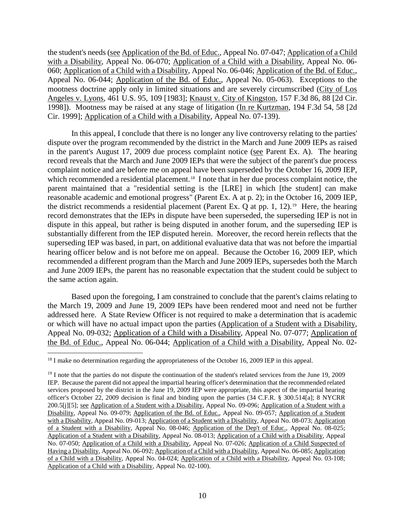the student's needs (see Application of the Bd. of Educ., Appeal No. 07-047; Application of a Child with a Disability, Appeal No. 06-070; Application of a Child with a Disability, Appeal No. 06- 060; Application of a Child with a Disability, Appeal No. 06-046; Application of the Bd. of Educ., Appeal No. 06-044; Application of the Bd. of Educ., Appeal No. 05-063). Exceptions to the mootness doctrine apply only in limited situations and are severely circumscribed (City of Los Angeles v. Lyons, 461 U.S. 95, 109 [1983]; Knaust v. City of Kingston, 157 F.3d 86, 88 [2d Cir. 1998]). Mootness may be raised at any stage of litigation (In re Kurtzman, 194 F.3d 54, 58 [2d Cir. 1999]; Application of a Child with a Disability, Appeal No. 07-139).

In this appeal, I conclude that there is no longer any live controversy relating to the parties' dispute over the program recommended by the district in the March and June 2009 IEPs as raised in the parent's August 17, 2009 due process complaint notice (see Parent Ex. A). The hearing record reveals that the March and June 2009 IEPs that were the subject of the parent's due process complaint notice and are before me on appeal have been superseded by the October 16, 2009 IEP, which recommended a residential placement.<sup>18</sup> I note that in her due process complaint notice, the parent maintained that a "residential setting is the [LRE] in which [the student] can make reasonable academic and emotional progress" (Parent Ex. A at p. 2); in the October 16, 2009 IEP, the district recommends a residential placement (Parent Ex. Q at pp. 1, 12).<sup>19</sup> Here, the hearing record demonstrates that the IEPs in dispute have been superseded, the superseding IEP is not in dispute in this appeal, but rather is being disputed in another forum, and the superseding IEP is substantially different from the IEP disputed herein. Moreover, the record herein reflects that the superseding IEP was based, in part, on additional evaluative data that was not before the impartial hearing officer below and is not before me on appeal. Because the October 16, 2009 IEP, which recommended a different program than the March and June 2009 IEPs, supersedes both the March and June 2009 IEPs, the parent has no reasonable expectation that the student could be subject to the same action again.

Based upon the foregoing, I am constrained to conclude that the parent's claims relating to the March 19, 2009 and June 19, 2009 IEPs have been rendered moot and need not be further addressed here. A State Review Officer is not required to make a determination that is academic or which will have no actual impact upon the parties (Application of a Student with a Disability, Appeal No. 09-032; Application of a Child with a Disability, Appeal No. 07-077; Application of the Bd. of Educ., Appeal No. 06-044; Application of a Child with a Disability, Appeal No. 02-

<sup>&</sup>lt;sup>18</sup> I make no determination regarding the appropriateness of the October 16, 2009 IEP in this appeal.

<sup>&</sup>lt;sup>19</sup> I note that the parties do not dispute the continuation of the student's related services from the June 19, 2009 IEP. Because the parent did not appeal the impartial hearing officer's determination that the recommended related services proposed by the district in the June 19, 2009 IEP were appropriate, this aspect of the impartial hearing officer's October 22, 2009 decision is final and binding upon the parties (34 C.F.R. § 300.514[a]; 8 NYCRR 200.5[j][5]; see Application of a Student with a Disability, Appeal No. 09-096; Application of a Student with a Disability, Appeal No. 09-079; Application of the Bd. of Educ., Appeal No. 09-057; Application of a Student with a Disability, Appeal No. 09-013; Application of a Student with a Disability, Appeal No. 08-073; Application of a Student with a Disability, Appeal No. 08-046; Application of the Dep't of Educ., Appeal No. 08-025; Application of a Student with a Disability, Appeal No. 08-013; Application of a Child with a Disability, Appeal No. 07-050; Application of a Child with a Disability, Appeal No. 07-026; Application of a Child Suspected of Having a Disability, Appeal No. 06-092; Application of a Child with a Disability, Appeal No. 06-085; Application of a Child with a Disability, Appeal No. 04-024; Application of a Child with a Disability, Appeal No. 03-108; Application of a Child with a Disability, Appeal No. 02-100).